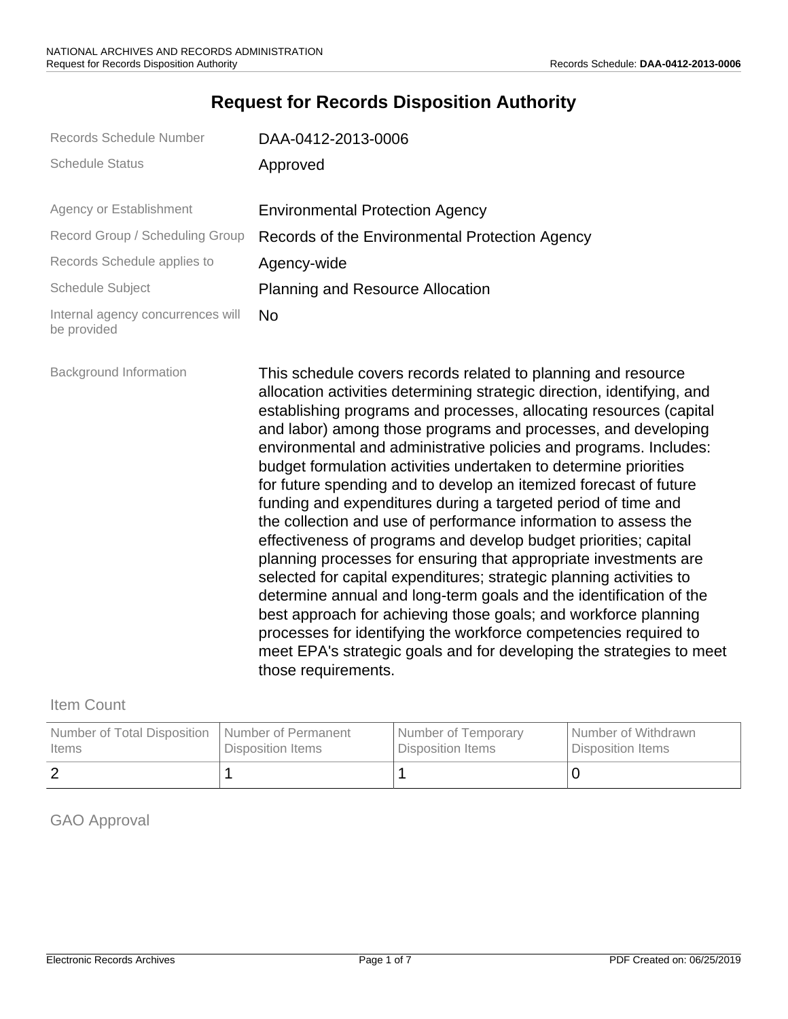## **Request for Records Disposition Authority**

| Records Schedule Number                          | DAA-0412-2013-0006                                                                                                                                                                                                                                                                                                                                                                                                                                                                                                                                                                                                                                                                                                                                                                                                                                                                                                                                                                                                                                                                                                                                           |
|--------------------------------------------------|--------------------------------------------------------------------------------------------------------------------------------------------------------------------------------------------------------------------------------------------------------------------------------------------------------------------------------------------------------------------------------------------------------------------------------------------------------------------------------------------------------------------------------------------------------------------------------------------------------------------------------------------------------------------------------------------------------------------------------------------------------------------------------------------------------------------------------------------------------------------------------------------------------------------------------------------------------------------------------------------------------------------------------------------------------------------------------------------------------------------------------------------------------------|
| <b>Schedule Status</b>                           | Approved                                                                                                                                                                                                                                                                                                                                                                                                                                                                                                                                                                                                                                                                                                                                                                                                                                                                                                                                                                                                                                                                                                                                                     |
| Agency or Establishment                          | <b>Environmental Protection Agency</b>                                                                                                                                                                                                                                                                                                                                                                                                                                                                                                                                                                                                                                                                                                                                                                                                                                                                                                                                                                                                                                                                                                                       |
| Record Group / Scheduling Group                  | Records of the Environmental Protection Agency                                                                                                                                                                                                                                                                                                                                                                                                                                                                                                                                                                                                                                                                                                                                                                                                                                                                                                                                                                                                                                                                                                               |
| Records Schedule applies to                      | Agency-wide                                                                                                                                                                                                                                                                                                                                                                                                                                                                                                                                                                                                                                                                                                                                                                                                                                                                                                                                                                                                                                                                                                                                                  |
| <b>Schedule Subject</b>                          | <b>Planning and Resource Allocation</b>                                                                                                                                                                                                                                                                                                                                                                                                                                                                                                                                                                                                                                                                                                                                                                                                                                                                                                                                                                                                                                                                                                                      |
| Internal agency concurrences will<br>be provided | <b>No</b>                                                                                                                                                                                                                                                                                                                                                                                                                                                                                                                                                                                                                                                                                                                                                                                                                                                                                                                                                                                                                                                                                                                                                    |
| <b>Background Information</b>                    | This schedule covers records related to planning and resource<br>allocation activities determining strategic direction, identifying, and<br>establishing programs and processes, allocating resources (capital<br>and labor) among those programs and processes, and developing<br>environmental and administrative policies and programs. Includes:<br>budget formulation activities undertaken to determine priorities<br>for future spending and to develop an itemized forecast of future<br>funding and expenditures during a targeted period of time and<br>the collection and use of performance information to assess the<br>effectiveness of programs and develop budget priorities; capital<br>planning processes for ensuring that appropriate investments are<br>selected for capital expenditures; strategic planning activities to<br>determine annual and long-term goals and the identification of the<br>best approach for achieving those goals; and workforce planning<br>processes for identifying the workforce competencies required to<br>meet EPA's strategic goals and for developing the strategies to meet<br>those requirements. |

### Item Count

| Number of Total Disposition | <b>Number of Permanent</b> | Number of Temporary | l Number of Withdrawn    |
|-----------------------------|----------------------------|---------------------|--------------------------|
| l Items                     | Disposition Items          | Disposition Items   | <b>Disposition Items</b> |
|                             |                            |                     |                          |

### GAO Approval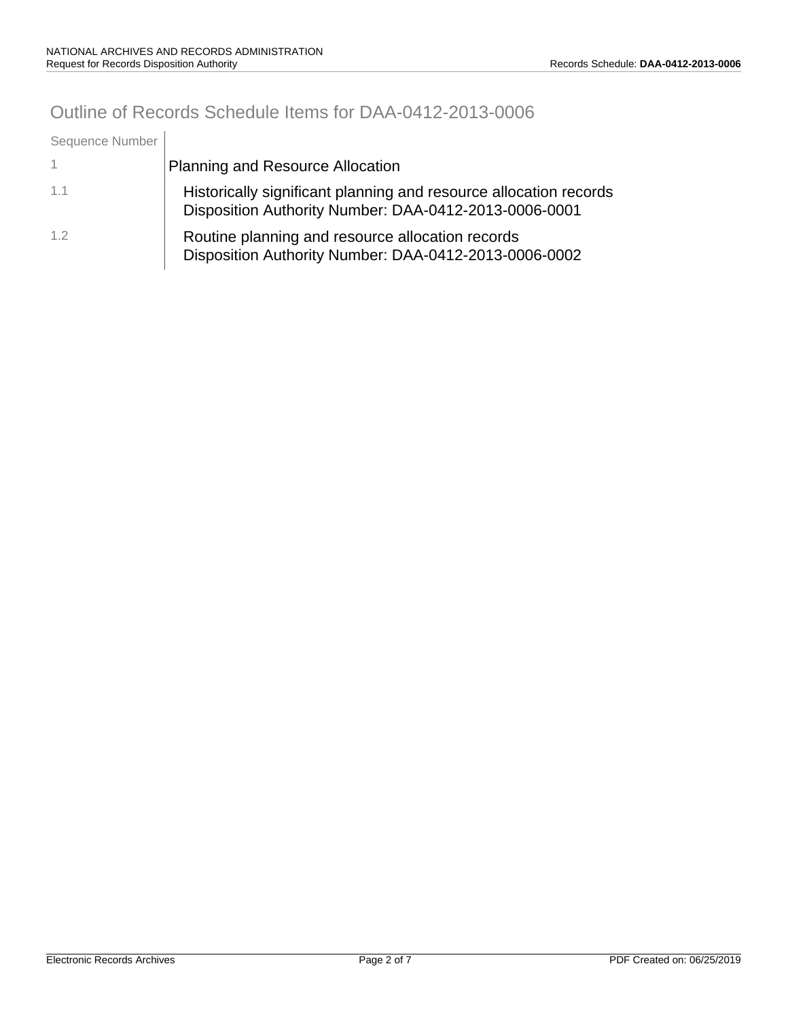# Outline of Records Schedule Items for DAA-0412-2013-0006

| Sequence Number |                                                                                                                            |
|-----------------|----------------------------------------------------------------------------------------------------------------------------|
|                 | <b>Planning and Resource Allocation</b>                                                                                    |
| 1.1             | Historically significant planning and resource allocation records<br>Disposition Authority Number: DAA-0412-2013-0006-0001 |
| 1.2             | Routine planning and resource allocation records<br>Disposition Authority Number: DAA-0412-2013-0006-0002                  |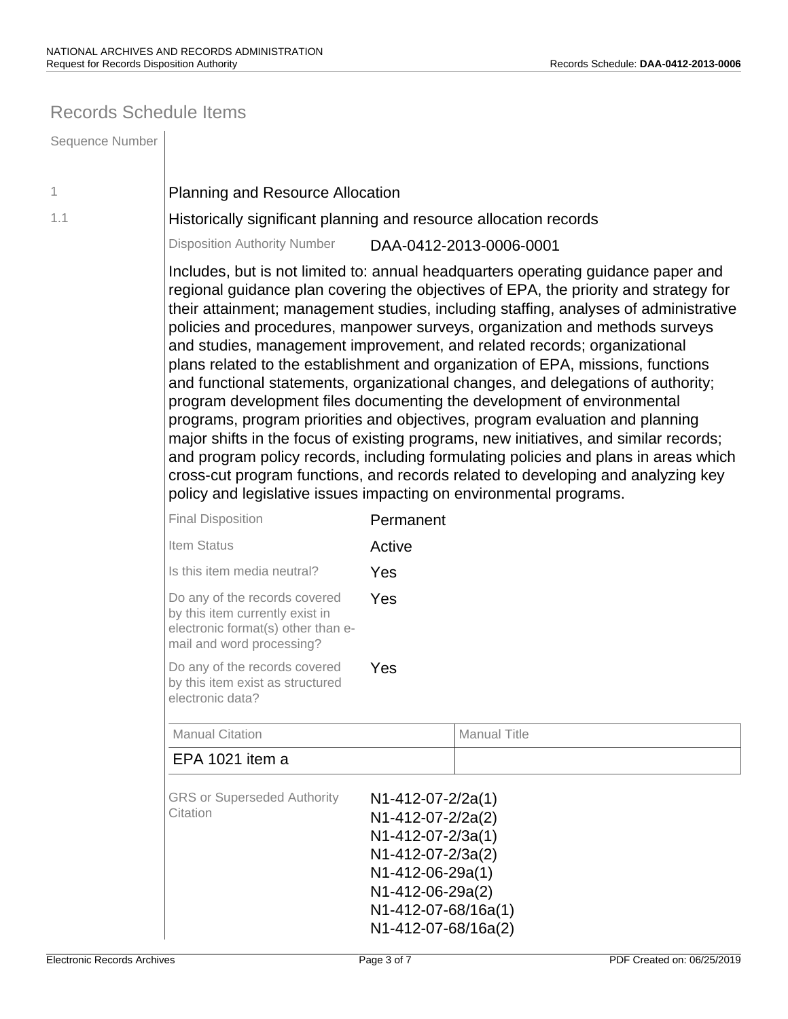### Records Schedule Items

| Sequence Number |                                                                                                                                                                                                                                                                                                                                                                                                                                                                                                                                                                                                                                                                                                                                                                                                                                                                                                                                                                                                                                                                                                         |                                                                                                                                                                          |                     |
|-----------------|---------------------------------------------------------------------------------------------------------------------------------------------------------------------------------------------------------------------------------------------------------------------------------------------------------------------------------------------------------------------------------------------------------------------------------------------------------------------------------------------------------------------------------------------------------------------------------------------------------------------------------------------------------------------------------------------------------------------------------------------------------------------------------------------------------------------------------------------------------------------------------------------------------------------------------------------------------------------------------------------------------------------------------------------------------------------------------------------------------|--------------------------------------------------------------------------------------------------------------------------------------------------------------------------|---------------------|
| 1               | <b>Planning and Resource Allocation</b>                                                                                                                                                                                                                                                                                                                                                                                                                                                                                                                                                                                                                                                                                                                                                                                                                                                                                                                                                                                                                                                                 |                                                                                                                                                                          |                     |
| 1.1             | Historically significant planning and resource allocation records                                                                                                                                                                                                                                                                                                                                                                                                                                                                                                                                                                                                                                                                                                                                                                                                                                                                                                                                                                                                                                       |                                                                                                                                                                          |                     |
|                 | <b>Disposition Authority Number</b><br>DAA-0412-2013-0006-0001                                                                                                                                                                                                                                                                                                                                                                                                                                                                                                                                                                                                                                                                                                                                                                                                                                                                                                                                                                                                                                          |                                                                                                                                                                          |                     |
|                 | Includes, but is not limited to: annual headquarters operating guidance paper and<br>regional guidance plan covering the objectives of EPA, the priority and strategy for<br>their attainment; management studies, including staffing, analyses of administrative<br>policies and procedures, manpower surveys, organization and methods surveys<br>and studies, management improvement, and related records; organizational<br>plans related to the establishment and organization of EPA, missions, functions<br>and functional statements, organizational changes, and delegations of authority;<br>program development files documenting the development of environmental<br>programs, program priorities and objectives, program evaluation and planning<br>major shifts in the focus of existing programs, new initiatives, and similar records;<br>and program policy records, including formulating policies and plans in areas which<br>cross-cut program functions, and records related to developing and analyzing key<br>policy and legislative issues impacting on environmental programs. |                                                                                                                                                                          |                     |
|                 | <b>Final Disposition</b>                                                                                                                                                                                                                                                                                                                                                                                                                                                                                                                                                                                                                                                                                                                                                                                                                                                                                                                                                                                                                                                                                | Permanent                                                                                                                                                                |                     |
|                 | Item Status                                                                                                                                                                                                                                                                                                                                                                                                                                                                                                                                                                                                                                                                                                                                                                                                                                                                                                                                                                                                                                                                                             | Active                                                                                                                                                                   |                     |
|                 | Is this item media neutral?                                                                                                                                                                                                                                                                                                                                                                                                                                                                                                                                                                                                                                                                                                                                                                                                                                                                                                                                                                                                                                                                             | Yes                                                                                                                                                                      |                     |
|                 | Do any of the records covered<br>Yes<br>by this item currently exist in<br>electronic format(s) other than e-<br>mail and word processing?<br>Do any of the records covered<br>Yes<br>by this item exist as structured<br>electronic data?                                                                                                                                                                                                                                                                                                                                                                                                                                                                                                                                                                                                                                                                                                                                                                                                                                                              |                                                                                                                                                                          |                     |
|                 |                                                                                                                                                                                                                                                                                                                                                                                                                                                                                                                                                                                                                                                                                                                                                                                                                                                                                                                                                                                                                                                                                                         |                                                                                                                                                                          |                     |
|                 | <b>Manual Citation</b>                                                                                                                                                                                                                                                                                                                                                                                                                                                                                                                                                                                                                                                                                                                                                                                                                                                                                                                                                                                                                                                                                  |                                                                                                                                                                          | <b>Manual Title</b> |
|                 | EPA 1021 item a                                                                                                                                                                                                                                                                                                                                                                                                                                                                                                                                                                                                                                                                                                                                                                                                                                                                                                                                                                                                                                                                                         |                                                                                                                                                                          |                     |
|                 | <b>GRS or Superseded Authority</b><br>Citation                                                                                                                                                                                                                                                                                                                                                                                                                                                                                                                                                                                                                                                                                                                                                                                                                                                                                                                                                                                                                                                          | $N1-412-07-2/2a(1)$<br>N1-412-07-2/2a(2)<br>N1-412-07-2/3a(1)<br>N1-412-07-2/3a(2)<br>N1-412-06-29a(1)<br>N1-412-06-29a(2)<br>N1-412-07-68/16a(1)<br>N1-412-07-68/16a(2) |                     |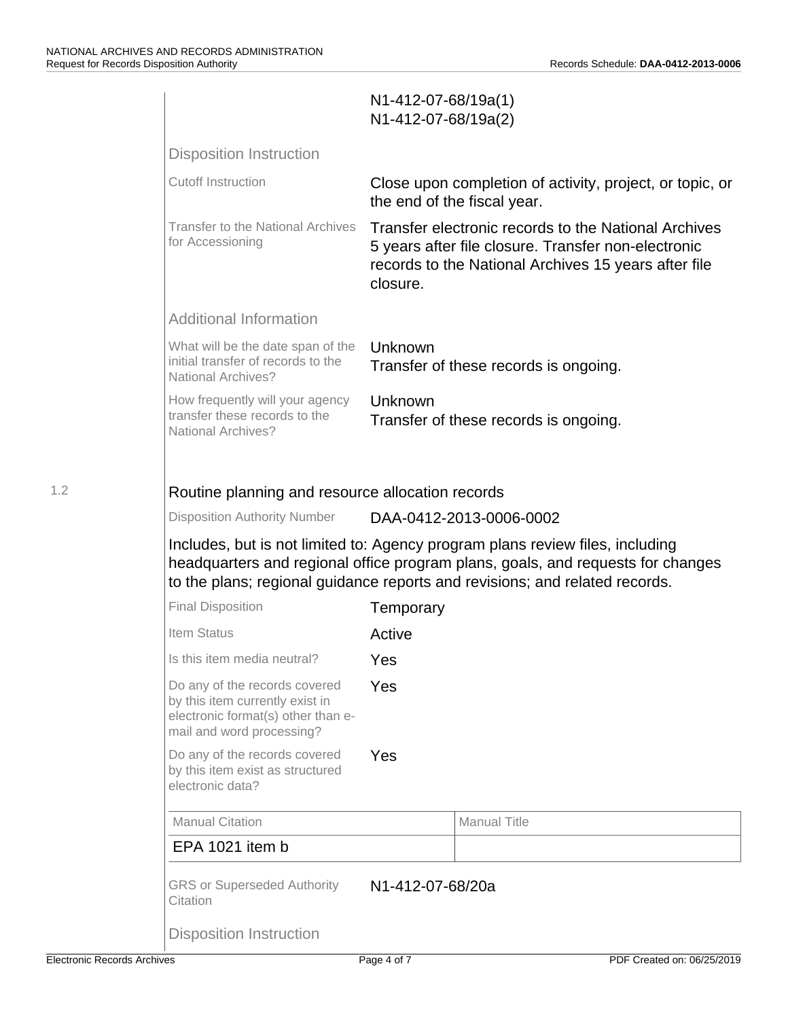|     |                                                                                                                                                                                                                                                 | N1-412-07-68/19a(1)<br>N1-412-07-68/19a(2) |                                                                                                                                                                     |
|-----|-------------------------------------------------------------------------------------------------------------------------------------------------------------------------------------------------------------------------------------------------|--------------------------------------------|---------------------------------------------------------------------------------------------------------------------------------------------------------------------|
|     | <b>Disposition Instruction</b>                                                                                                                                                                                                                  |                                            |                                                                                                                                                                     |
|     | <b>Cutoff Instruction</b>                                                                                                                                                                                                                       | the end of the fiscal year.                | Close upon completion of activity, project, or topic, or                                                                                                            |
|     | <b>Transfer to the National Archives</b><br>for Accessioning                                                                                                                                                                                    | closure.                                   | Transfer electronic records to the National Archives<br>5 years after file closure. Transfer non-electronic<br>records to the National Archives 15 years after file |
|     | <b>Additional Information</b>                                                                                                                                                                                                                   |                                            |                                                                                                                                                                     |
|     | What will be the date span of the<br>initial transfer of records to the<br><b>National Archives?</b>                                                                                                                                            | Unknown                                    | Transfer of these records is ongoing.                                                                                                                               |
|     | How frequently will your agency<br>transfer these records to the<br><b>National Archives?</b>                                                                                                                                                   | Unknown                                    | Transfer of these records is ongoing.                                                                                                                               |
|     |                                                                                                                                                                                                                                                 |                                            |                                                                                                                                                                     |
| 1.2 | Routine planning and resource allocation records                                                                                                                                                                                                |                                            |                                                                                                                                                                     |
|     | <b>Disposition Authority Number</b>                                                                                                                                                                                                             |                                            | DAA-0412-2013-0006-0002                                                                                                                                             |
|     | Includes, but is not limited to: Agency program plans review files, including<br>headquarters and regional office program plans, goals, and requests for changes<br>to the plans; regional guidance reports and revisions; and related records. |                                            |                                                                                                                                                                     |
|     | <b>Final Disposition</b>                                                                                                                                                                                                                        | Temporary                                  |                                                                                                                                                                     |
|     | Item Status                                                                                                                                                                                                                                     | Active                                     |                                                                                                                                                                     |
|     | Is this item media neutral?                                                                                                                                                                                                                     | Yes                                        |                                                                                                                                                                     |
|     | Do any of the records covered<br>by this item currently exist in<br>electronic format(s) other than e-<br>mail and word processing?                                                                                                             | Yes                                        |                                                                                                                                                                     |
|     | Do any of the records covered<br>by this item exist as structured<br>electronic data?                                                                                                                                                           | Yes                                        |                                                                                                                                                                     |
|     | <b>Manual Citation</b>                                                                                                                                                                                                                          |                                            | <b>Manual Title</b>                                                                                                                                                 |
|     | EPA 1021 item b                                                                                                                                                                                                                                 |                                            |                                                                                                                                                                     |
|     | <b>GRS or Superseded Authority</b><br>Citation                                                                                                                                                                                                  | N1-412-07-68/20a                           |                                                                                                                                                                     |
|     | <b>Disposition Instruction</b>                                                                                                                                                                                                                  |                                            |                                                                                                                                                                     |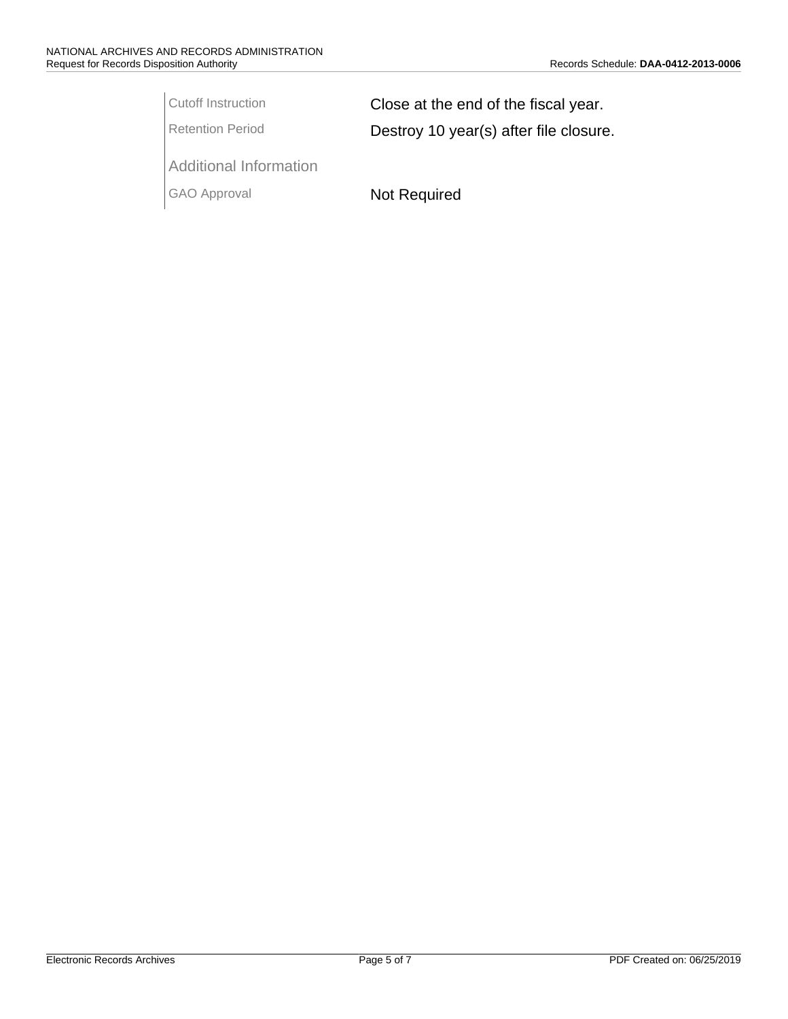Cutoff Instruction **Close at the end of the fiscal year.** Retention Period **Destroy 10 year(s) after file closure.** 

Additional Information

GAO Approval Not Required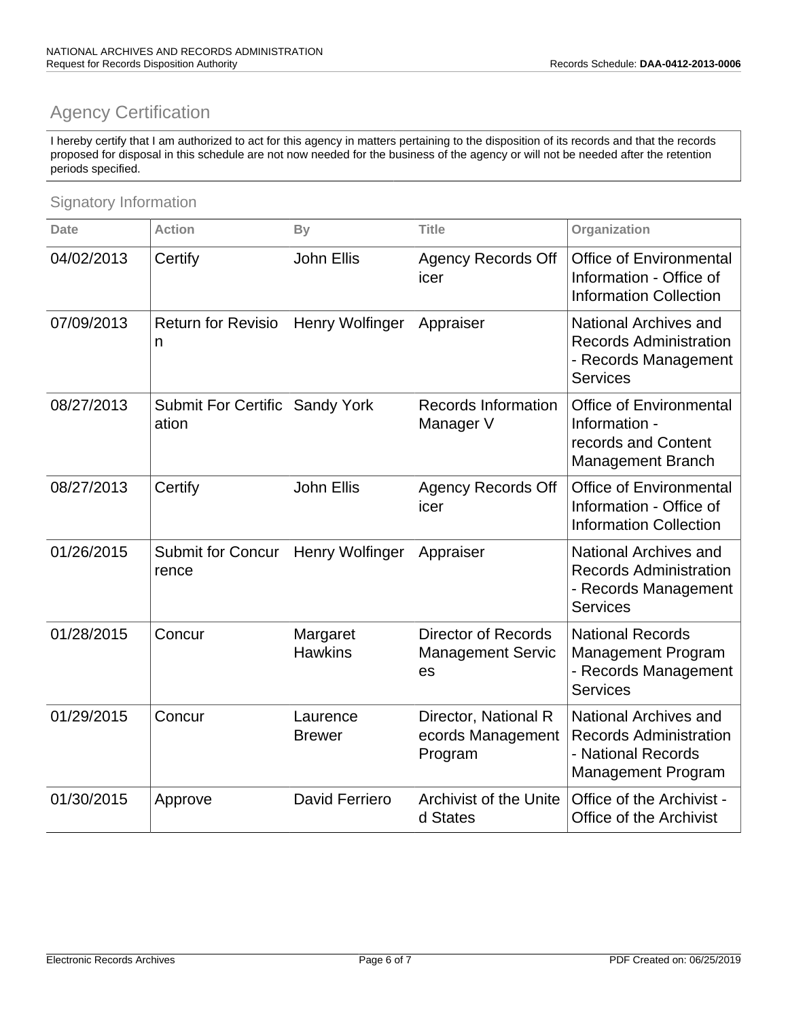# Agency Certification

 I hereby certify that I am authorized to act for this agency in matters pertaining to the disposition of its records and that the records proposed for disposal in this schedule are not now needed for the business of the agency or will not be needed after the retention periods specified.

### Signatory Information

| <b>Date</b> | <b>Action</b>                       | By                         | <b>Title</b>                                                 | Organization                                                                                              |
|-------------|-------------------------------------|----------------------------|--------------------------------------------------------------|-----------------------------------------------------------------------------------------------------------|
| 04/02/2013  | Certify                             | <b>John Ellis</b>          | <b>Agency Records Off</b><br>icer                            | <b>Office of Environmental</b><br>Information - Office of<br><b>Information Collection</b>                |
| 07/09/2013  | <b>Return for Revisio</b><br>n      | Henry Wolfinger            | Appraiser                                                    | National Archives and<br><b>Records Administration</b><br>- Records Management<br><b>Services</b>         |
| 08/27/2013  | <b>Submit For Certific</b><br>ation | <b>Sandy York</b>          | <b>Records Information</b><br>Manager V                      | <b>Office of Environmental</b><br>Information -<br>records and Content<br><b>Management Branch</b>        |
| 08/27/2013  | Certify                             | <b>John Ellis</b>          | <b>Agency Records Off</b><br>icer                            | <b>Office of Environmental</b><br>Information - Office of<br><b>Information Collection</b>                |
| 01/26/2015  | <b>Submit for Concur</b><br>rence   | Henry Wolfinger            | Appraiser                                                    | <b>National Archives and</b><br><b>Records Administration</b><br>- Records Management<br><b>Services</b>  |
| 01/28/2015  | Concur                              | Margaret<br><b>Hawkins</b> | <b>Director of Records</b><br><b>Management Servic</b><br>es | <b>National Records</b><br><b>Management Program</b><br>- Records Management<br><b>Services</b>           |
| 01/29/2015  | Concur                              | Laurence<br><b>Brewer</b>  | Director, National R<br>ecords Management<br>Program         | National Archives and<br><b>Records Administration</b><br>- National Records<br><b>Management Program</b> |
| 01/30/2015  | Approve                             | David Ferriero             | <b>Archivist of the Unite</b><br>d States                    | Office of the Archivist -<br>Office of the Archivist                                                      |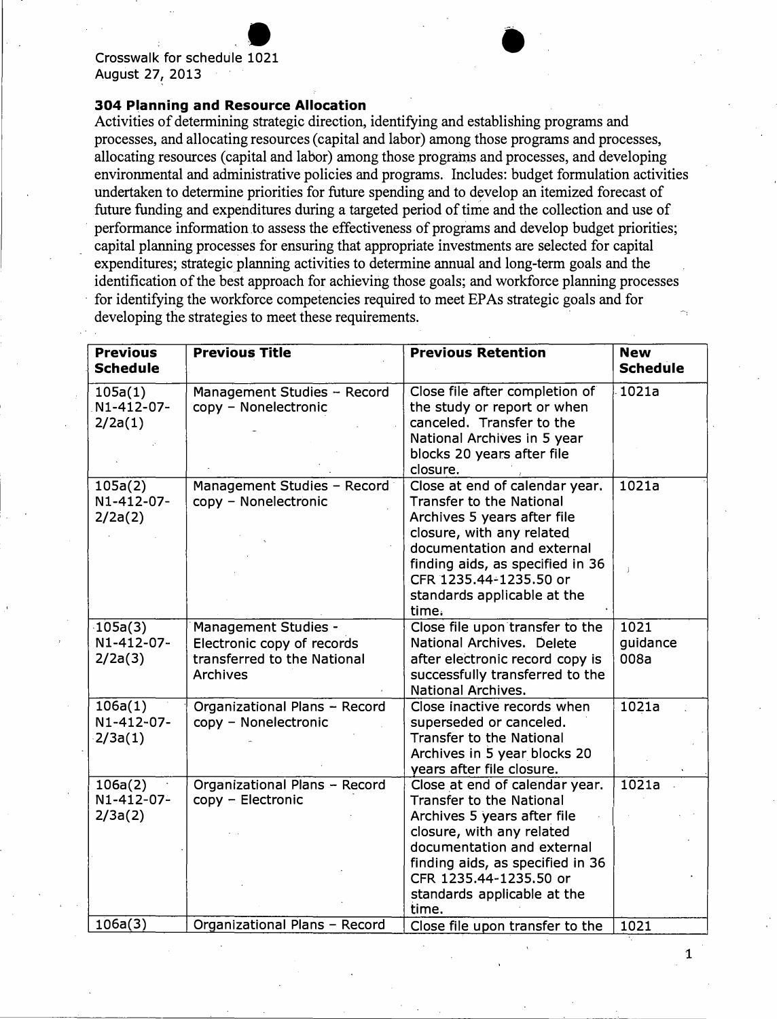Crosswalk for schedule 1021 - • August 27, 2013

#### **304 Planning and Resource Allocation**

Activities of determining strategic direction, identifying and establishing programs and processes, and allocating resources (capital and labor) among those programs and processes, allocating resources (capital and labor) among those programs and processes, and developing environmental and administrative policies and programs. Includes: budget formulation activities undertaken to determine priorities for future spending and to develop an itemized forecast of future funding and expenditures during a targeted period of time and the collection and use of performance information to assess the effectiveness of programs and develop budget priorities; capital planning processes for ensuring that appropriate investments are selected for capital expenditures; strategic planning activities to determine annual and long-term goals and the identification of the best approach for achieving those goals; and workforce planning processes for identifying the workforce competencies required to meet EPAs strategic goals and for developing the strategies to meet these requirements.

| <b>Previous</b><br><b>Schedule</b>  | <b>Previous Title</b>                                                                                | <b>Previous Retention</b>                                                                                                                                                                                                                                         | <b>New</b><br><b>Schedule</b> |
|-------------------------------------|------------------------------------------------------------------------------------------------------|-------------------------------------------------------------------------------------------------------------------------------------------------------------------------------------------------------------------------------------------------------------------|-------------------------------|
| 105a(1)<br>N1-412-07-<br>2/2a(1)    | Management Studies - Record<br>copy - Nonelectronic                                                  | Close file after completion of<br>the study or report or when<br>canceled. Transfer to the<br>National Archives in 5 year<br>blocks 20 years after file<br>closure.                                                                                               | 1021a                         |
| 105a(2)<br>N1-412-07-<br>2/2a(2)    | Management Studies - Record<br>copy - Nonelectronic                                                  | Close at end of calendar year.<br><b>Transfer to the National</b><br>Archives 5 years after file<br>closure, with any related<br>documentation and external<br>finding aids, as specified in 36<br>CFR 1235.44-1235.50 or<br>standards applicable at the<br>time. | 1021a                         |
| $-105a(3)$<br>N1-412-07-<br>2/2a(3) | <b>Management Studies -</b><br>Electronic copy of records<br>transferred to the National<br>Archives | Close file upon transfer to the<br>National Archives. Delete<br>after electronic record copy is<br>successfully transferred to the<br><b>National Archives.</b>                                                                                                   | 1021<br>guidance<br>008a      |
| 106a(1)<br>N1-412-07-<br>2/3a(1)    | Organizational Plans - Record<br>copy - Nonelectronic                                                | Close inactive records when<br>superseded or canceled.<br><b>Transfer to the National</b><br>Archives in 5 year blocks 20<br>years after file closure.                                                                                                            | 1021a                         |
| 106a(2)<br>N1-412-07-<br>2/3a(2)    | Organizational Plans - Record<br>copy - Electronic                                                   | Close at end of calendar year.<br><b>Transfer to the National</b><br>Archives 5 years after file<br>closure, with any related<br>documentation and external<br>finding aids, as specified in 36<br>CFR 1235.44-1235.50 or<br>standards applicable at the<br>time. | 1021a                         |
| 106a(3)                             | Organizational Plans - Record                                                                        | Close file upon transfer to the                                                                                                                                                                                                                                   | 1021                          |

1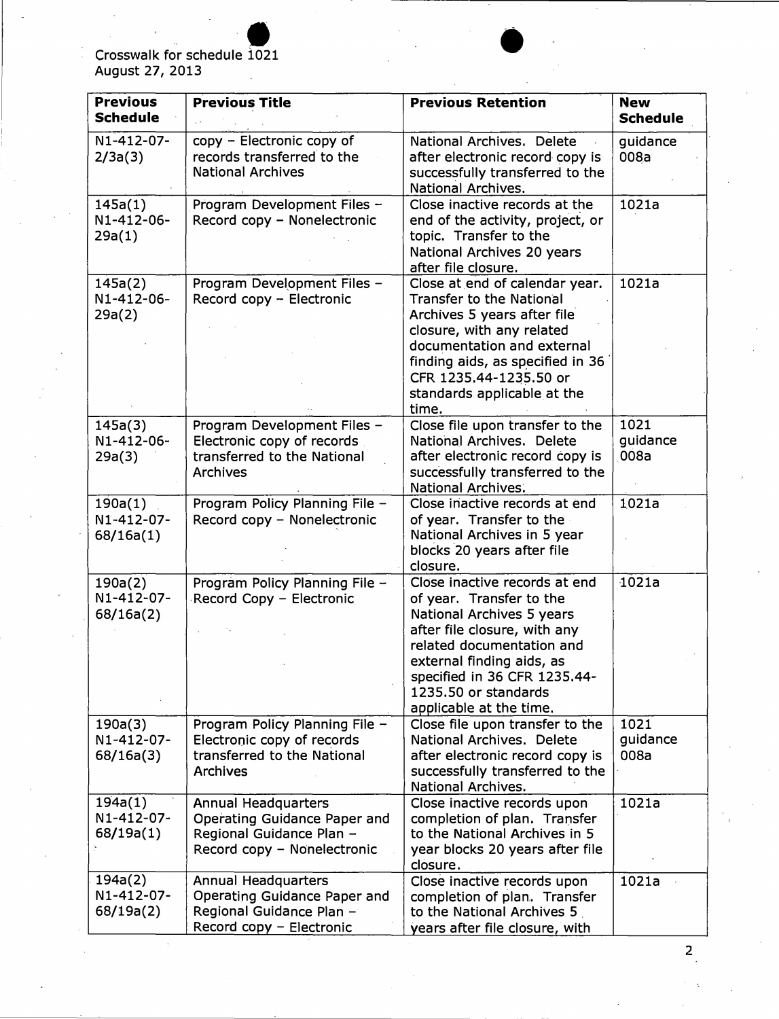### Crosswalk for schedule 1021 August 27, 2013

| <b>Previous</b><br><b>Schedule</b> | <b>Previous Title</b>                                                                                                 | <b>Previous Retention</b>                                                                                                                                                                                                                                           | <b>New</b><br><b>Schedule</b> |
|------------------------------------|-----------------------------------------------------------------------------------------------------------------------|---------------------------------------------------------------------------------------------------------------------------------------------------------------------------------------------------------------------------------------------------------------------|-------------------------------|
| N1-412-07-<br>2/3a(3)              | copy - Electronic copy of<br>records transferred to the<br><b>National Archives</b>                                   | National Archives. Delete<br>after electronic record copy is<br>successfully transferred to the<br>National Archives.                                                                                                                                               | guidance<br>008a              |
| 145a(1)<br>N1-412-06-<br>29a(1)    | Program Development Files -<br>Record copy - Nonelectronic                                                            | Close inactive records at the<br>end of the activity, project, or<br>topic. Transfer to the<br>National Archives 20 years<br>after file closure.                                                                                                                    | 1021a                         |
| 145a(2)<br>N1-412-06-<br>29a(2)    | Program Development Files -<br>Record copy - Electronic                                                               | Close at end of calendar year.<br><b>Transfer to the National</b><br>Archives 5 years after file<br>closure, with any related<br>documentation and external<br>finding aids, as specified in 36<br>CFR 1235.44-1235.50 or<br>standards applicable at the<br>time.   | 1021a                         |
| 145a(3)<br>N1-412-06-<br>29a(3)    | Program Development Files -<br>Electronic copy of records<br>transferred to the National<br><b>Archives</b>           | Close file upon transfer to the<br>National Archives. Delete<br>after electronic record copy is<br>successfully transferred to the<br>National Archives.                                                                                                            | 1021<br>guidance<br>008a      |
| 190a(1)<br>N1-412-07-<br>68/16a(1) | Program Policy Planning File -<br>Record copy - Nonelectronic                                                         | Close inactive records at end<br>of year. Transfer to the<br>National Archives in 5 year<br>blocks 20 years after file<br>closure.                                                                                                                                  | 1021a                         |
| 190a(2)<br>N1-412-07-<br>68/16a(2) | Program Policy Planning File -<br>Record Copy - Electronic                                                            | Close inactive records at end<br>of year. Transfer to the<br>National Archives 5 years<br>after file closure, with any<br>related documentation and<br>external finding aids, as<br>specified in 36 CFR 1235.44-<br>1235.50 or standards<br>applicable at the time. | 1021a                         |
| 190a(3)<br>N1-412-07-<br>68/16a(3) | Program Policy Planning File -<br>Electronic copy of records<br>transferred to the National<br><b>Archives</b>        | Close file upon transfer to the<br>National Archives. Delete<br>after electronic record copy is<br>successfully transferred to the<br><b>National Archives.</b>                                                                                                     | 1021<br>guidance<br>008a      |
| 194a(1)<br>N1-412-07-<br>68/19a(1) | <b>Annual Headquarters</b><br>Operating Guidance Paper and<br>Regional Guidance Plan -<br>Record copy - Nonelectronic | Close inactive records upon<br>completion of plan. Transfer<br>to the National Archives in 5<br>year blocks 20 years after file<br>closure.                                                                                                                         | 1021a                         |
| 194a(2)<br>N1-412-07-<br>68/19a(2) | Annual Headquarters<br>Operating Guidance Paper and<br>Regional Guidance Plan -<br>Record copy - Electronic           | Close inactive records upon<br>completion of plan. Transfer<br>to the National Archives 5<br>years after file closure, with                                                                                                                                         | 1021a                         |

।<br>●<br>।

2